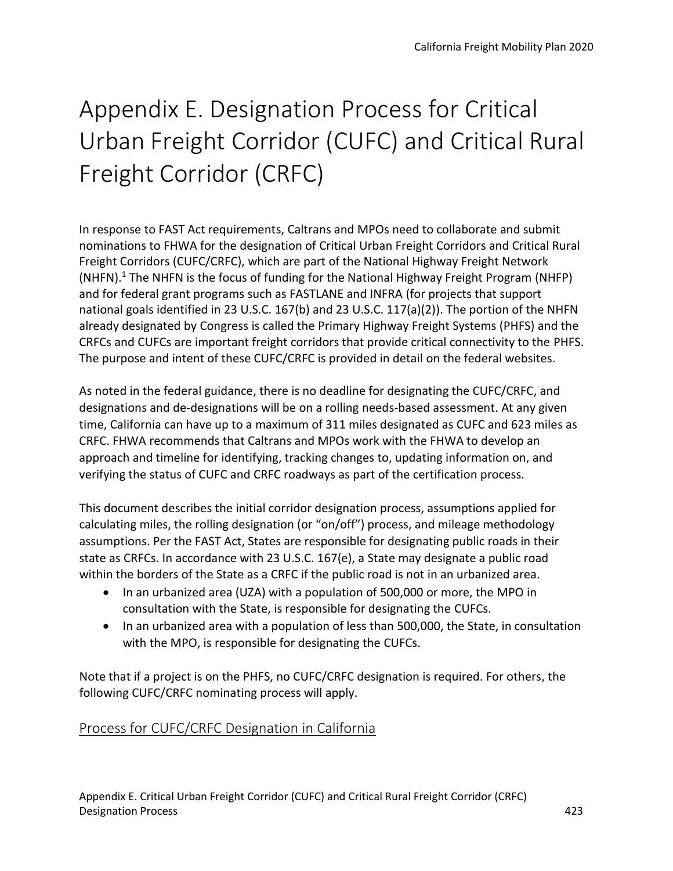# Appendix E. Designation Process for Critical Urban Freight Corridor (CUFC) and Critical Rural Freight Corridor (CRFC)

In response to FAST Act requirements, Caltrans and MPOs need to collaborate and submit nominations to FHWA for the designation of Critical Urban Freight Corridors and Critical Rural Freight Corridors (CUFC/CRFC), which are part of the National Highway Freight Network (NHFN).<sup>1</sup> The NHFN is the focus of funding for the National Highway Freight Program (NHFP) and for federal grant programs such as FASTLANE and INFRA (for projects that support national goals identified in 23 U.S.C. 167(b) and 23 U.S.C. 117(a)(2)). The portion of the NHFN already designated by Congress is called the Primary Highway Freight Systems (PHFS) and the CRFCs and CUFCs are important freight corridors that provide critical connectivity to the PHFS. The purpose and intent of these CUFC/CRFC is provided in detail on the federal websites.

As noted in the federal guidance, there is no deadline for designating the CUFC/CRFC, and designations and de-designations will be on a rolling needs-based assessment. At any given time, California can have up to a maximum of 311 miles designated as CUFC and 623 miles as CRFC. FHWA recommends that Caltrans and MPOs work with the FHWA to develop an approach and timeline for identifying, tracking changes to, updating information on, and verifying the status of CUFC and CRFC roadways as part of the certification process.

This document describes the initial corridor designation process, assumptions applied for calculating miles, the rolling designation (or "on/off") process, and mileage methodology assumptions. Per the FAST Act, States are responsible for designating public roads in their state as CRFCs. In accordance with 23 U.S.C. 167(e), a State may designate a public road within the borders of the State as a CRFC if the public road is not in an urbanized area.

- In an urbanized area (UZA) with a population of 500,000 or more, the MPO in consultation with the State, is responsible for designating the CUFCs.
- In an urbanized area with a population of less than 500,000, the State, in consultation with the MPO, is responsible for designating the CUFCs.

Note that if a project is on the PHFS, no CUFC/CRFC designation is required. For others, the following CUFC/CRFC nominating process will apply.

# Process for CUFC/CRFC Designation in California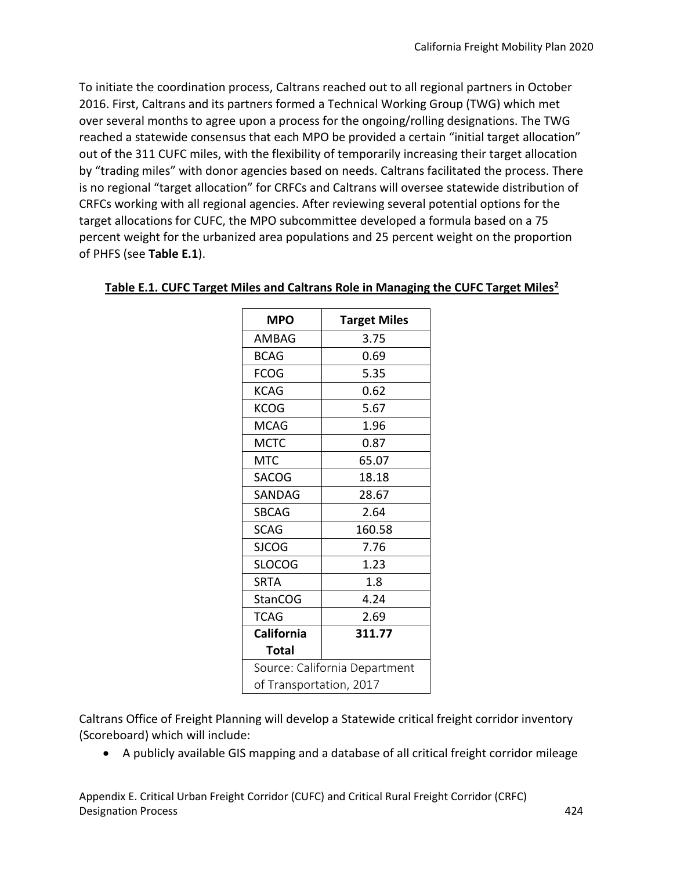To initiate the coordination process, Caltrans reached out to all regional partners in October 2016. First, Caltrans and its partners formed a Technical Working Group (TWG) which met over several months to agree upon a process for the ongoing/rolling designations. The TWG reached a statewide consensus that each MPO be provided a certain "initial target allocation" out of the 311 CUFC miles, with the flexibility of temporarily increasing their target allocation by "trading miles" with donor agencies based on needs. Caltrans facilitated the process. There is no regional "target allocation" for CRFCs and Caltrans will oversee statewide distribution of CRFCs working with all regional agencies. After reviewing several potential options for the target allocations for CUFC, the MPO subcommittee developed a formula based on a 75 percent weight for the urbanized area populations and 25 percent weight on the proportion of PHFS (see **Table E.1**).

| <b>MPO</b>                    | <b>Target Miles</b> |
|-------------------------------|---------------------|
| AMBAG                         | 3.75                |
| <b>BCAG</b>                   | 0.69                |
| <b>FCOG</b>                   | 5.35                |
| <b>KCAG</b>                   | 0.62                |
| <b>KCOG</b>                   | 5.67                |
| <b>MCAG</b>                   | 1.96                |
| <b>MCTC</b>                   | 0.87                |
| MTC                           | 65.07               |
| <b>SACOG</b>                  | 18.18               |
| SANDAG                        | 28.67               |
| <b>SBCAG</b>                  | 2.64                |
| <b>SCAG</b>                   | 160.58              |
| <b>SJCOG</b>                  | 7.76                |
| <b>SLOCOG</b>                 | 1.23                |
| SRTA                          | 1.8                 |
| <b>StanCOG</b>                | 4.24                |
| <b>TCAG</b>                   | 2.69                |
| California                    | 311.77              |
| Total                         |                     |
| Source: California Department |                     |
| of Transportation, 2017       |                     |

#### **Table E.1. CUFC Target Miles and Caltrans Role in Managing the CUFC Target Miles2**

Caltrans Office of Freight Planning will develop a Statewide critical freight corridor inventory (Scoreboard) which will include:

• A publicly available GIS mapping and a database of all critical freight corridor mileage

Appendix E. Critical Urban Freight Corridor (CUFC) and Critical Rural Freight Corridor (CRFC) Designation Process 424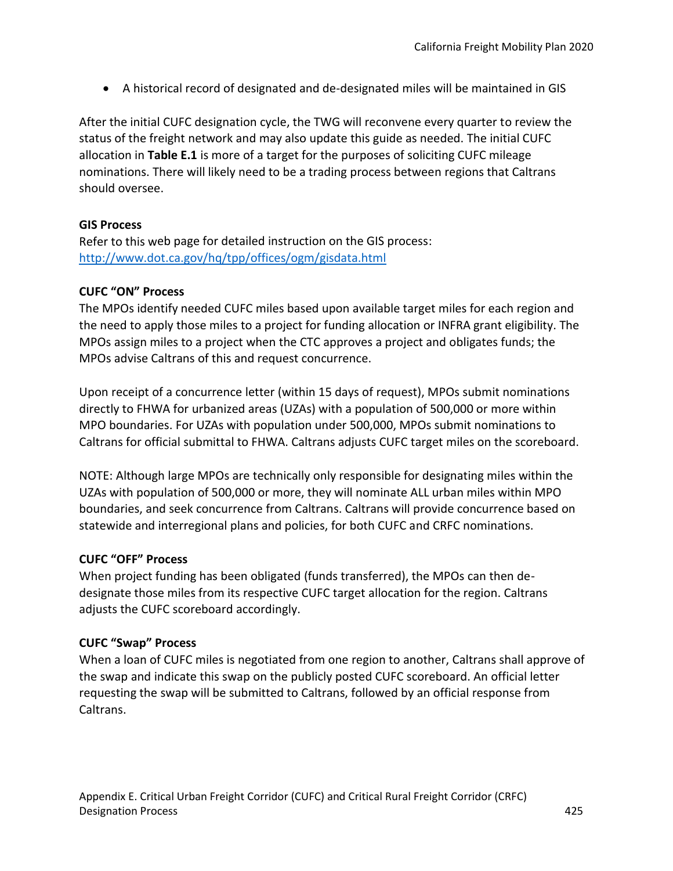• A historical record of designated and de-designated miles will be maintained in GIS

After the initial CUFC designation cycle, the TWG will reconvene every quarter to review the status of the freight network and may also update this guide as needed. The initial CUFC allocation in **Table E.1** is more of a target for the purposes of soliciting CUFC mileage nominations. There will likely need to be a trading process between regions that Caltrans should oversee.

#### **GIS Process**

Refer to this web page for detailed instruction on the GIS process: [http://www.dot.ca.gov/hq/tpp/offices/ogm/gisdata.html](https://www.transportation.gov/buildamerica/infragrants)

#### **CUFC "ON" Process**

The MPOs identify needed CUFC miles based upon available target miles for each region and the need to apply those miles to a project for funding allocation or INFRA grant eligibility. The MPOs assign miles to a project when the CTC approves a project and obligates funds; the MPOs advise Caltrans of this and request concurrence.

Upon receipt of a concurrence letter (within 15 days of request), MPOs submit nominations directly to FHWA for urbanized areas (UZAs) with a population of 500,000 or more within MPO boundaries. For UZAs with population under 500,000, MPOs submit nominations to Caltrans for official submittal to FHWA. Caltrans adjusts CUFC target miles on the scoreboard.

NOTE: Although large MPOs are technically only responsible for designating miles within the UZAs with population of 500,000 or more, they will nominate ALL urban miles within MPO boundaries, and seek concurrence from Caltrans. Caltrans will provide concurrence based on statewide and interregional plans and policies, for both CUFC and CRFC nominations.

#### **CUFC "OFF" Process**

When project funding has been obligated (funds transferred), the MPOs can then dedesignate those miles from its respective CUFC target allocation for the region. Caltrans adjusts the CUFC scoreboard accordingly.

#### **CUFC "Swap" Process**

When a loan of CUFC miles is negotiated from one region to another, Caltrans shall approve of the swap and indicate this swap on the publicly posted CUFC scoreboard. An official letter requesting the swap will be submitted to Caltrans, followed by an official response from Caltrans.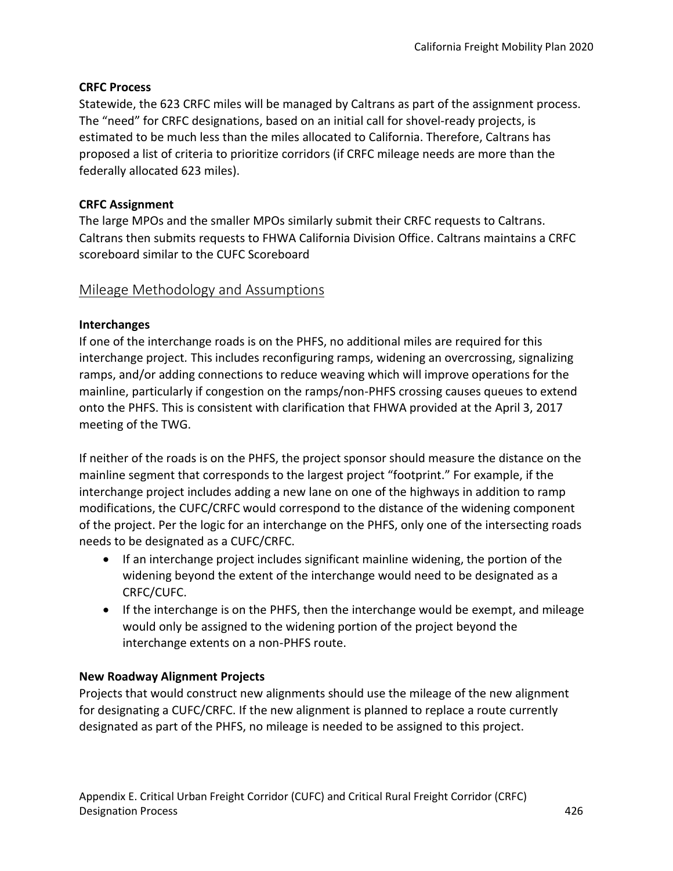# **CRFC Process**

Statewide, the 623 CRFC miles will be managed by Caltrans as part of the assignment process. The "need" for CRFC designations, based on an initial call for shovel-ready projects, is estimated to be much less than the miles allocated to California. Therefore, Caltrans has proposed a list of criteria to prioritize corridors (if CRFC mileage needs are more than the federally allocated 623 miles).

# **CRFC Assignment**

The large MPOs and the smaller MPOs similarly submit their CRFC requests to Caltrans. Caltrans then submits requests to FHWA California Division Office. Caltrans maintains a CRFC scoreboard similar to the CUFC Scoreboard

# Mileage Methodology and Assumptions

# **Interchanges**

If one of the interchange roads is on the PHFS, no additional miles are required for this interchange project*.* This includes reconfiguring ramps, widening an overcrossing, signalizing ramps, and/or adding connections to reduce weaving which will improve operations for the mainline, particularly if congestion on the ramps/non-PHFS crossing causes queues to extend onto the PHFS. This is consistent with clarification that FHWA provided at the April 3, 2017 meeting of the TWG.

If neither of the roads is on the PHFS, the project sponsor should measure the distance on the mainline segment that corresponds to the largest project "footprint." For example, if the interchange project includes adding a new lane on one of the highways in addition to ramp modifications, the CUFC/CRFC would correspond to the distance of the widening component of the project. Per the logic for an interchange on the PHFS, only one of the intersecting roads needs to be designated as a CUFC/CRFC.

- If an interchange project includes significant mainline widening, the portion of the widening beyond the extent of the interchange would need to be designated as a CRFC/CUFC.
- If the interchange is on the PHFS, then the interchange would be exempt, and mileage would only be assigned to the widening portion of the project beyond the interchange extents on a non-PHFS route.

#### **New Roadway Alignment Projects**

Projects that would construct new alignments should use the mileage of the new alignment for designating a CUFC/CRFC. If the new alignment is planned to replace a route currently designated as part of the PHFS, no mileage is needed to be assigned to this project.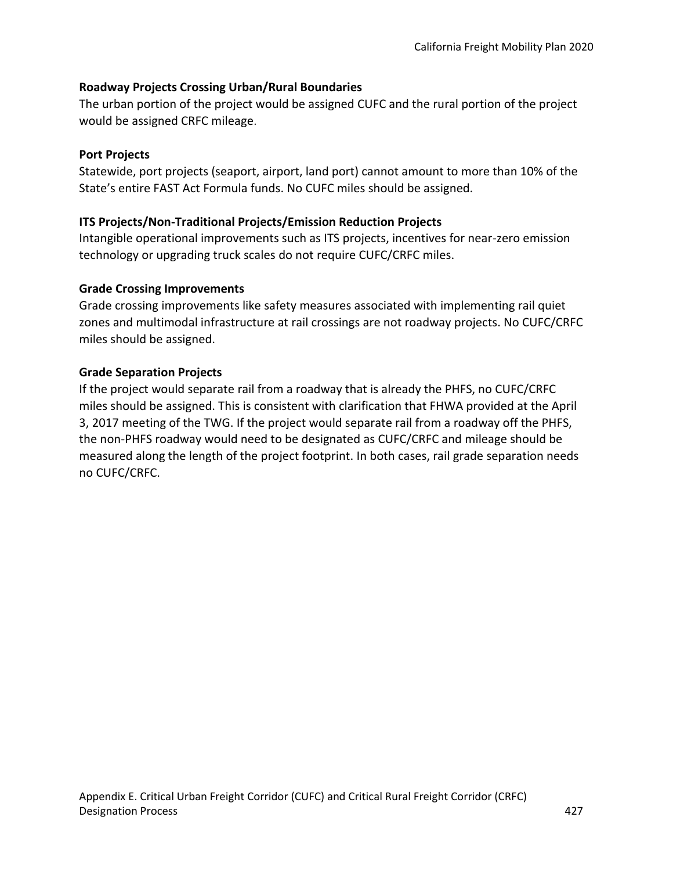# **Roadway Projects Crossing Urban/Rural Boundaries**

The urban portion of the project would be assigned CUFC and the rural portion of the project would be assigned CRFC mileage.

#### **Port Projects**

Statewide, port projects (seaport, airport, land port) cannot amount to more than 10% of the State's entire FAST Act Formula funds. No CUFC miles should be assigned.

# **ITS Projects/Non-Traditional Projects/Emission Reduction Projects**

Intangible operational improvements such as ITS projects, incentives for near-zero emission technology or upgrading truck scales do not require CUFC/CRFC miles.

# **Grade Crossing Improvements**

Grade crossing improvements like safety measures associated with implementing rail quiet zones and multimodal infrastructure at rail crossings are not roadway projects. No CUFC/CRFC miles should be assigned.

# **Grade Separation Projects**

If the project would separate rail from a roadway that is already the PHFS, no CUFC/CRFC miles should be assigned. This is consistent with clarification that FHWA provided at the April 3, 2017 meeting of the TWG. If the project would separate rail from a roadway off the PHFS, the non-PHFS roadway would need to be designated as CUFC/CRFC and mileage should be measured along the length of the project footprint. In both cases, rail grade separation needs no CUFC/CRFC.